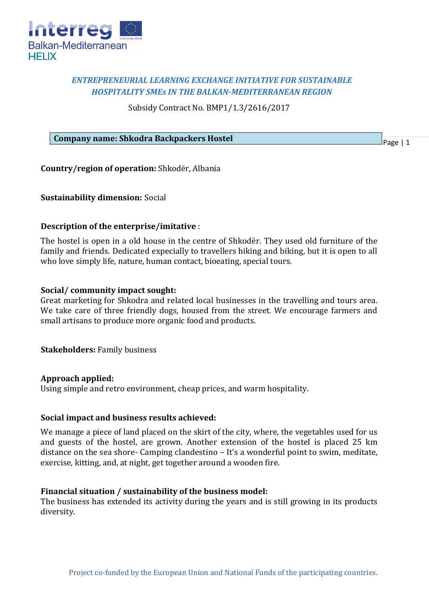

# *ENTREPRENEURIAL LEARNING EXCHANGE INITIATIVE FOR SUSTAINABLE HOSPITALITY SMEs IN THE BALKAN-MEDITERRANEAN REGION*

Subsidy Contract No. BMP1/1.3/2616/2017

### **Company name: Shkodra Backpackers Hostel**

Page | 1

**Country/region of operation:** Shkodër, Albania

## **Sustainability dimension:** Social

## **Description of the enterprise/imitative** :

The hostel is open in a old house in the centre of Shkodër. They used old furniture of the family and friends. Dedicated expecially to travellers hiking and biking, but it is open to all who love simply life, nature, human contact, bioeating, special tours.

## **Social/ community impact sought:**

Great marketing for Shkodra and related local businesses in the travelling and tours area. We take care of three friendly dogs, housed from the street. We encourage farmers and small artisans to produce more organic food and products.

**Stakeholders:** Family business

### **Approach applied:**

Using simple and retro environment, cheap prices, and warm hospitality.

### **Social impact and business results achieved:**

We manage a piece of land placed on the skirt of the city, where, the vegetables used for us and guests of the hostel, are grown. Another extension of the hostel is placed 25 km distance on the sea shore- Camping clandestino – It's a wonderful point to swim, meditate, exercise, kitting, and, at night, get together around a wooden fire.

### **Financial situation / sustainability of the business model:**

The business has extended its activity during the years and is still growing in its products diversity.